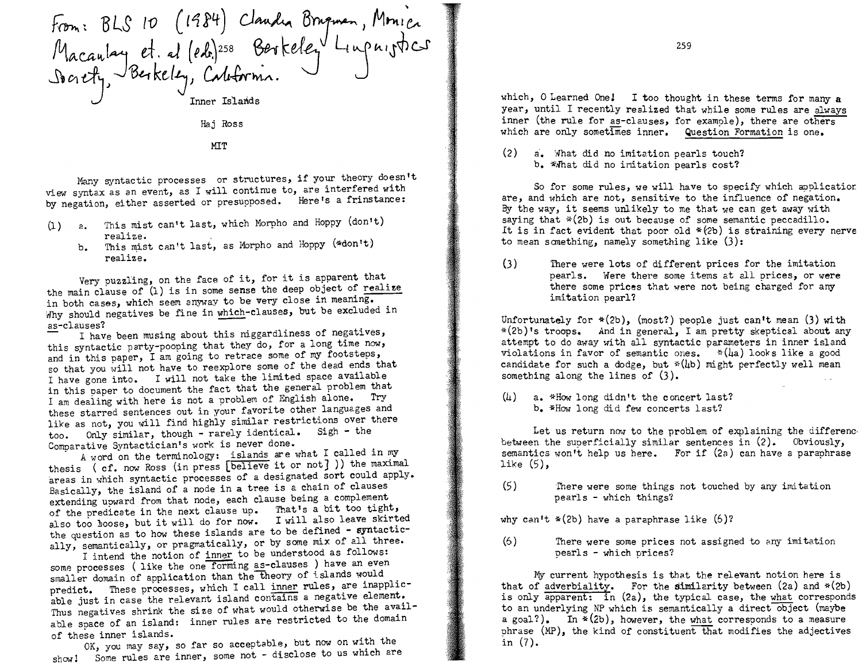From: BLS 10  $(1984)$  Claudia Brugman, Monica Macaulay et. al (eds.)<sup>258</sup> Berkeley Linpnigtics Inner Is'Lands Raj Ross

**MIT** 

Many syntactic processes or structures, if your theory doesn't view syntax as an event, as I will continue to, are interfered with by negation, either asserted or presupposed. Here's a frinstance:

- (1)  $a$ . This mist can't last, which Morpho and Hoppy (don't) realize.
	- realize.<br>b. This mist can't last, as Morpho and Hoppy (\*don't) realize.

Very puzzling, on the face of it, for it is apparent that the main clause of (1) is in some sense the deep object of realize in both cases, which seem anyway to be very close in meaning. Why should negatives be fine in which-clauses, but be excluded in

as-clauses? I have been musing about this niggardliness of negatives, this syntactic party-pooping that they do, for a long time now, and in this paper, I am going to retrace some of my footsteps, so that you will not have to reexplore some of the dead ends that I have gone into. I will not take the limited space available in this paper to document the fact that the general problem that I am dealing with here is not a problem of English alone. Try these starred sentences out in your favorite other languages and like as not, you will find highly similar restrictions over there too. Only similar, though - rarely identical. Sigh - the Comparative Syntactician's work is never done.

A word on the terminology: islands are what I called in my thesis (cf. now Ross (in press [believe it or not] )) the maximal areas in which syntactic processes of a designated sort could apply. Basically, the island of a node in a tree is a chain of clauses extending upward from that node, each clause being a complement of the predicate in the next clause up. That's a bit too tight, also too boose, but it will do for now. I will also leave skirted the question as to how these islands are to be defined - syntactically, semantically, or pragmatically, or by some mix of all three.

I intend the notion of inner to be understood as follows: some processes (like the one forming as-clauses) have an even smaller domain of application than the theory of islands would predict. These processes, which I call inner rules, are inapplicable just in case the relevant island contains a negative element. Thus negatives shrink the size of what would otherwise be the available space of an island: inner rules are restricted to the domain of these inner islands.

OK, you may say, so far so acceptable, but now on with the showl Some rules are inner, some not - disclose to us which are which, O Learned One! I too thought in these terms for many a year, until I recently realized that while some rules are always inner (the rule for as-clauses, for example), there are others which are only sometimes inner. Question Formation is one.

 $(2)$  a. What did no imitation pearls touch? b. \*What did no imitation pearls cost?

So for some rules, we will have to specify which applicatior are, and which are not, sensitive to the influence of negation. By the way, it seems unlikely to me that we can get away with saying that  $*(2b)$  is out because of some semantic peccadillo. It is in fact evident that poor old  $*(2b)$  is straining every nerve to mean something, namely something like  $(3)$ :

(3) There were lots of different prices for the imitation pearls. Were there some items at all prices, or were there some prices that were not being charged for any imi.tation pearl?

Unfortunately for  $*(2b)$ , (most?) people just can't mean (3) with \*(2b) "s troops. And in general, I am pretty skeptica1 about any attempt to do away with all syntactic parameters in inner island violations in favor of semantic ones.  $*(\mu a)$  looks like a good candidate for such a dodge, but  $*(4b)$  might perfectly well mean something along the lines of (3).

 $(4)$  a. \*How long didn't the concert last? b. \*How long did few concerts last?

Let us return now to the problem of explaining the differenc. between the superficially similar sentences in  $(2)$ . Obviously, semantics won't help us here. For if  $(2a)$  can have a paraphrase like (5),

(5) There were some things not touched by any imitation pearls - which things?

why can't  $*(2b)$  have a paraphrase like  $(6)?$ 

(6) There were some prices not assigned to any imitation pearls - which prices?

My current hypothesis is that the relevant notion here is that of adverbiality. For the similarity between  $(2a)$  and  $*(2b)$ is only apparent: in (2a), the typical case, the what corresponds to an underlying NP which is semantically a direct object (maybe a goal?). In  $*(2b)$ , however, the what corresponds to a measure phrase  $(MP)$ , the kind of constituent that modifies the adjectives in (7).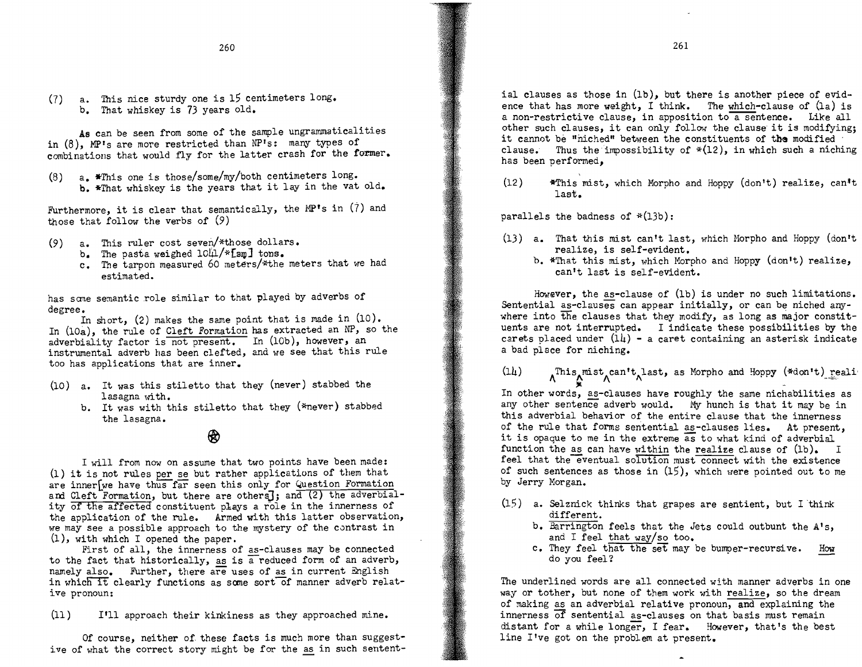(7) a. This nice sturdy one is 15 centimeters long. b. That whiskey is 73 years old.

As can be seen from some of the sample ungrammaticalities in  $(8)$ , MP's are more restricted than NP's: many types of combinations that would fly for the latter crash for the former.

(8)  $a_{\bullet}$  \*This one is those/some/my/both centimeters long. b. \*That whiskey is the years that it lay in the vat old.

Furthermore, it is clear that semantically, the MP's in  $(7)$  and those that follow the verbs of (9)

- (9) a. This ruler cost seven/\*those dollars.
	- b. The pasta weighed  $10\mu$ /\*[sm] tons.
	- c. The tarpon measured 60 meters/\*the meters that we had estimated.

has same semantic role similar to that played by adverbs of degree.

In short, (2) makes the same point that is made in (10). In (lOa), the rule of Cleft Formation has extracted an NP, so the adverbiality factor is not present. In  $(10b)$ , however, an instrumental adverb has been clefted, and we see that this rule too has applications that are inner.

- (10) a. It was this stiletto that they (never) stabbed the lasagna with.
	- b. It was with this stiletto that they (\*never) stabbed the lasagna.

## @

I will from now on assume that two points have been made:  $(1)$  it is not rules per se but rather applications of them that are inner[we have thus far seen this only for Question Formation and Cleft Formation, but there are others]; and (2) the adverbiality of the affected constituent plays a role in the innerness of the application of the rule. Armed with this latter observation, we may see a possible approach to the mystery of the contrast in  $(1)$ , with which I opened the paper.

First of all, the innerness of as-clauses may be connected to the fact that historically, as is a reduced form of an adverb, namely also. Further, there are uses of as in current English in which it clearly functions as some sort of manner adverb relative pronoun:

(11) I'll approach their kinkiness as they approached mine.

Of course, neither of these facts is much more than suggestive of what the correct story might be for the as in such sentent-

ial clauses as those in (lb), but there is another piece of evidence that has more weight, I think. The which-clause of (la) is a non-restrictive clause, in apposition to a sentence. Like all other such clauses, it can only follow the clause it is modifying; it cannot be "niched" between the constituents of the modified clause. Thus the impossibility of  $*(12)$ , in which such a niching has been performed,

 $(12)$  \*This mist, which Morpho and Hoppy  $(d_{0}n't)$  realize, can<sup>t</sup>t last.

parallels the badness of  $*(13b)$ :

- (13) a. That this mist can't last, which Morpho and Hoppy (don't realize, is self-evident.
	- b. \*That this mist, which Morpho and Hoppy (don't) realize, can't last is self-evident.

However, the as-clause of (1b) is under no such limitations. Sentential as-clauses can appear initially, or can be niched anywhere into the clauses that they modify, as long as major constituents are not interrupted. I indicate these possibilities by the carets placed under  $(14)$  - a caret containing an asterisk indicate a bad place for niching.

(14)  $\Lambda^{This}$   $\Lambda^{mix}$   $\Lambda^{flat}$ , as Morpho and Hoppy (\*don't) reali<br>In other words, as-clauses have roughly the same nichabilities as

any other sentence adverb would. My hunch is that it may be in this adverbial behavior of the entire clause that the innerness of the rule that forms sentential as-clauses lies. At present, it is opaque to me in the extreme as to what kind of adverbial function the as can have within the realize clause of  $(lb)_*$  I feel that the eventual solution must connect with the existence of such sentences as those in (15), which were pointed out to me by Jerry Morgan.

- $(15)$  a. Selznick thinks that grapes are sentient, but I think different.
	- b. Barrington feels that the Jets could outbunt the A's, and I feel that way/so too.
	- c. They feel that the set may be bumper-recursive. How do you feel?

The underlined words are all connected with manner adverbs in one way or tother, but none of them work with realize, so the dream of making as an adverbial relative pronoun, and explaining the innerness of sentential as-clauses on that basis must remain distant for a while longer, I fear. However, that's the best line I've got on the problem at present.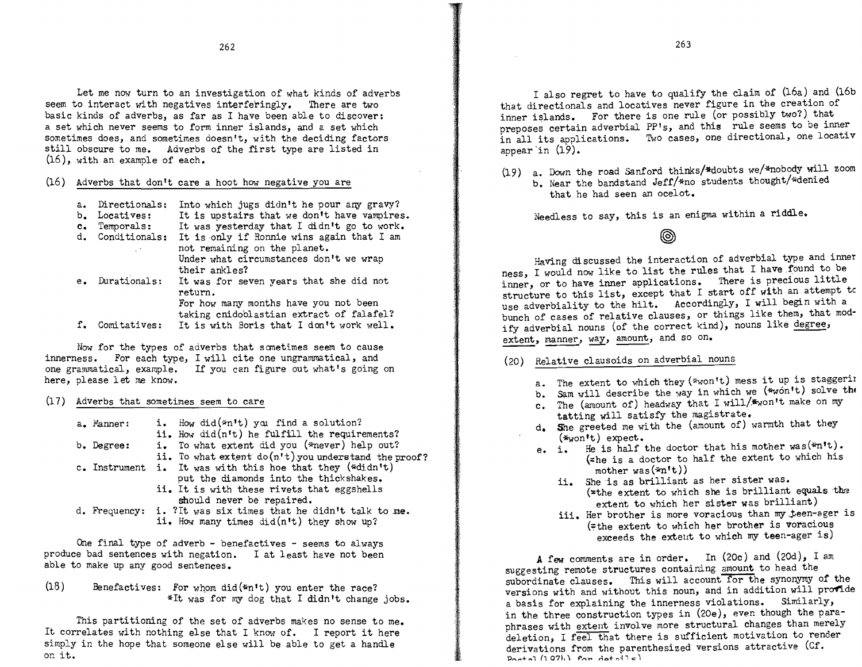Let me now turn to an investigation of what kinds of adverbs seem to interact with negatives interferingly. There are two basic kinds of adverbs, as far as I have been able to discover: a set which never seems to form inner islands, and a set which sometimes does, and sometimes doesn't, with the deciding factors still obscure to me. Adverbs of the first type are listed in (16), with an example of each.

## $(16)$  Adverbs that don't care a hoot how negative you are

| а.<br>$b_{\bullet}$    | Directionals:<br>Locatives: | Into which jugs didn't he pour any gravy?<br>It is upstairs that we don't have vampires. |
|------------------------|-----------------------------|------------------------------------------------------------------------------------------|
| $\mathbf{c}_{\bullet}$ | Temporals:                  | It was yesterday that I didn't go to work.                                               |
|                        | d. Conditionals:            | It is only if Ronnie wins again that I am                                                |
|                        | L. S. C                     | not remaining on the planet.<br>Under what circumstances don't we wrap<br>their ankles?  |
|                        | e. Durationals:             | It was for seven years that she did not<br>return.                                       |
|                        |                             | For how many months have you not been                                                    |
|                        | Comitatives:                | taking cnidoblastian extract of falafel?<br>It is with Boris that I don't work well.     |

Now for the types of adverbs that sometimes seem to cause innerness. For each type, I will cite one ungrammatical, and one grammatical, example. If you can figure out what's going on here, please let me know.

(17) Adverbs that sometimes seem to care

| a. Manner:    | i. How did(*n't) you find a solution?<br>ii. How did(n't) he fulfill the requirements? |
|---------------|----------------------------------------------------------------------------------------|
| b. Degree:    | i. To what extent did you (*never) help out?                                           |
|               | ii. To what extent $do(n't)$ you understand the proof?                                 |
| c. Instrument | i. It was with this hoe that they (*didn't)                                            |
|               | put the diamonds into the thickshakes.                                                 |
|               | ii. It is with these rivets that eggshells                                             |
|               | should never be repaired.                                                              |
|               | d. Frequency: i. ?It was six times that he didn't talk to me.                          |
|               | ii. How many times did(n't) they show up?                                              |

One final type of adverb - benefactives - seems to always produce bad sentences with negation. I at least have not been able to make up any good sentences.

(18) Benefactives: For whom did(\*n't) you enter the race? \*It was for my dog that I didn't change jobs.

This partitioning of the set of adverbs makes no sense to me. It correlates with nothing else that I know of. I report it here simply in the hope that someone else will be able to get a handle on it.

I also regret to have to qualify the claim of (16a) and (16b that directionals and locatives never figure in the creation of inner islands. For there is one rule (or possibly two?) that preposes certain adverbial PP's, and this rule seems to be inner in all its applications. Two cases, one directional, one locativ appear'in (19).

(19) a. Down the road Sanford thinks/\*doubts we/\*nobody will zoom b. Near the bandstand Jeff/\*no students thought/\*denied that he had seen an ocelot.

Needless to say, this is an enigma within a riddle.

◉

Having discussed the interaction of adverbial type and inner ness, I would now like to list the rules that I have found to be inner, or to have inner applications. There is precious little structure to this list, except that I start off with an attempt tc use adverbiality to the hilt. Accordingly, I will begin with a bunch of cases of relative clauses, or things like them, that modify adverbial nouns (of the correct kind), nouns like degree, extent, manner, way, amount, and so on.

- (ZO) Relative clausoids on adverbial nouns
	- a. The extent to which they ( $*$ won't) mess it up is staggering
	- b. Sam will describe the way in which we  $(*w\ddot{o}n't)$  solve the
	- c. The (amount of) headway that I will/\*won't make on my tatting will satisfy the magistrate.
	- d. She greeted me with the (amount of) warmth that they
	- $(*<sub>won</sub>'t) expect.$ <br>e. i. He is half  $(*<sub>w</sub>on't)$  expect.<br>
	e. i. He is half the doctor that his mother was (\*n't). (~he is a doctor to half the extent to which his mother was(\*n't))
		- ii. She is as brilliant as her sister was.  $\left($  = the extent to which she is brilliant equals the extent to which her sister was brilliant)
		- iii. Her brother is more voracious than my teen-ager is (= the extent to which her brother is voracious exceeds the exteut to which my teen-ager is)

A few comments are in order. In (ZOe) and (ZOd), I am suggesting remote structures containing amount to head the subordinate clauses. This will account for the synonymy of the versions with and without this noun, and in addition will provide a basis for explaining the innerness violations. Similarly, in the three construction types in (20e), even though the paraphrases with extent involve more structural changes than merely deletion, I feel that there is sufficient motivation to render derivations from the parenthesized versions attractive (Cf. **0 ................1** *h* **07 L \ f'''''.... t40+ .... .;**l <sup>c</sup>